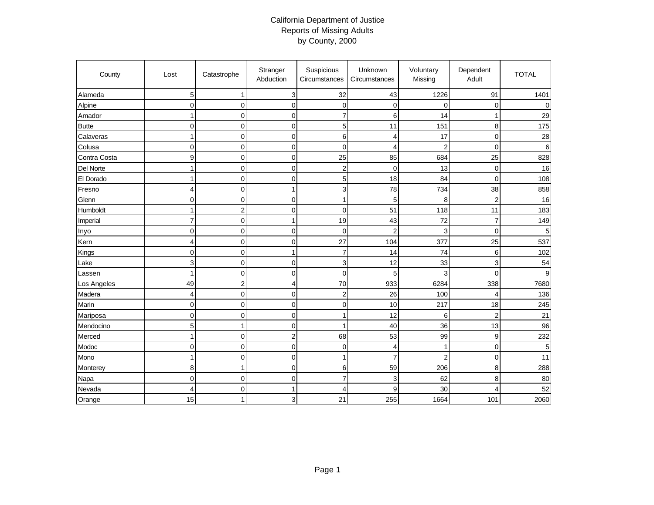## California Department of Justice Reports of Missing Adults by County, 2000

| County       | Lost           | Catastrophe             | Stranger<br>Abduction   | Suspicious<br>Circumstances | Unknown<br>Circumstances | Voluntary<br>Missing | Dependent<br>Adult | <b>TOTAL</b> |
|--------------|----------------|-------------------------|-------------------------|-----------------------------|--------------------------|----------------------|--------------------|--------------|
| Alameda      | 5              | $\mathbf{1}$            | $\mathsf 3$             | 32                          | 43                       | 1226                 | 91                 | 1401         |
| Alpine       | 0              | $\mathbf 0$             | $\mathbf 0$             | $\mathbf 0$                 | $\mathbf 0$              | 0                    | 0                  | $\Omega$     |
| Amador       | 1              | $\mathsf{O}\xspace$     | $\pmb{0}$               | $\overline{7}$              | $\,6$                    | 14                   | $\mathbf{1}$       | 29           |
| <b>Butte</b> | 0              | $\overline{0}$          | $\mathbf 0$             | $\overline{5}$              | 11                       | 151                  | 8                  | 175          |
| Calaveras    | 1              | $\mathbf 0$             | $\mathbf 0$             | 6                           | 4                        | 17                   | $\pmb{0}$          | 28           |
| Colusa       | 0              | $\overline{0}$          | $\mathbf 0$             | $\mathbf 0$                 | $\overline{4}$           | $\overline{2}$       | $\mathbf 0$        | 6            |
| Contra Costa | 9              | $\pmb{0}$               | $\pmb{0}$               | 25                          | 85                       | 684                  | 25                 | 828          |
| Del Norte    | 1              | $\mathbf 0$             | $\mathbf 0$             | $\overline{c}$              | $\mathbf 0$              | 13                   | $\mathbf 0$        | 16           |
| El Dorado    | 1              | $\mathbf 0$             | $\mathbf 0$             | 5                           | 18                       | 84                   | $\mathbf 0$        | 108          |
| Fresno       | 4              | $\mathsf{O}\xspace$     | $\mathbf{1}$            | 3                           | 78                       | 734                  | 38                 | 858          |
| Glenn        | 0              | $\mathbf 0$             | $\mathbf 0$             | $\mathbf{1}$                | 5                        | 8                    | $\overline{c}$     | 16           |
| Humboldt     | 1              | $\overline{\mathbf{c}}$ | $\mathbf 0$             | $\mathbf 0$                 | 51                       | 118                  | 11                 | 183          |
| Imperial     | $\overline{7}$ | $\overline{0}$          | $\mathbf{1}$            | 19                          | 43                       | 72                   | $\overline{7}$     | 149          |
| Inyo         | $\mathbf 0$    | $\pmb{0}$               | $\pmb{0}$               | $\mathbf 0$                 | $\overline{2}$           | 3                    | $\mathbf 0$        | 5            |
| Kern         | 4              | $\mathbf 0$             | $\mathbf 0$             | 27                          | 104                      | 377                  | 25                 | 537          |
| Kings        | 0              | $\overline{0}$          | $\mathbf{1}$            | $\overline{7}$              | 14                       | 74                   | 6                  | 102          |
| Lake         | 3              | $\mathsf{O}\xspace$     | $\mathbf 0$             | $\ensuremath{\mathsf{3}}$   | 12                       | 33                   | 3                  | 54           |
| Lassen       | 1              | $\overline{0}$          | $\mathbf 0$             | $\mathbf 0$                 | 5                        | 3                    | $\mathbf 0$        | 9            |
| Los Angeles  | 49             | $\overline{2}$          | 4                       | 70                          | 933                      | 6284                 | 338                | 7680         |
| Madera       | 4              | $\overline{0}$          | $\mathbf 0$             | $\sqrt{2}$                  | 26                       | 100                  | $\overline{4}$     | 136          |
| Marin        | 0              | $\mathbf 0$             | $\mathbf 0$             | $\mathbf 0$                 | 10                       | 217                  | 18                 | 245          |
| Mariposa     | 0              | $\mathbf 0$             | $\mathbf 0$             | $\mathbf{1}$                | 12                       | 6                    | $\overline{c}$     | 21           |
| Mendocino    | 5              | $\mathbf{1}$            | $\mathbf 0$             | $\mathbf{1}$                | 40                       | 36                   | 13                 | 96           |
| Merced       | 1              | $\mathsf{O}\xspace$     | $\overline{\mathbf{c}}$ | 68                          | 53                       | 99                   | $\boldsymbol{9}$   | 232          |
| Modoc        | 0              | $\mathbf 0$             | $\mathbf 0$             | $\mathbf 0$                 | $\overline{4}$           | $\mathbf{1}$         | $\pmb{0}$          | 5            |
| Mono         | 1              | $\mathbf 0$             | $\mathbf 0$             | $\mathbf{1}$                | $\overline{7}$           | $\overline{2}$       | $\mathbf 0$        | 11           |
| Monterey     | 8              | $\mathbf{1}$            | $\pmb{0}$               | 6                           | 59                       | 206                  | 8                  | 288          |
| Napa         | 0              | $\mathbf 0$             | $\mathbf 0$             | $\overline{7}$              | 3                        | 62                   | 8                  | 80           |
| Nevada       | 4              | 0                       | $\mathbf{1}$            | 4                           | 9                        | 30                   | $\overline{4}$     | 52           |
| Orange       | 15             | 1                       | 3                       | 21                          | 255                      | 1664                 | 101                | 2060         |